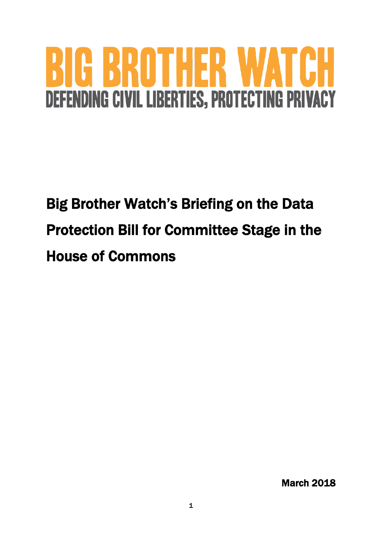# HER W.

# Big Brother Watch's Briefing on the Data Protection Bill for Committee Stage in the House of Commons

March 2018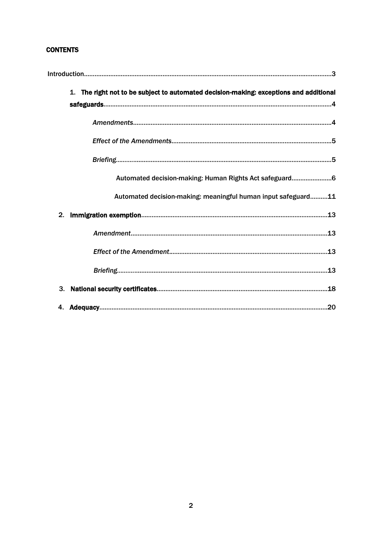# **CONTENTS**

| The right not to be subject to automated decision-making: exceptions and additional<br>1. |
|-------------------------------------------------------------------------------------------|
|                                                                                           |
|                                                                                           |
|                                                                                           |
| Automated decision-making: Human Rights Act safeguard6                                    |
| Automated decision-making: meaningful human input safeguard11                             |
| 2.                                                                                        |
|                                                                                           |
|                                                                                           |
|                                                                                           |
| 3.                                                                                        |
| 4.                                                                                        |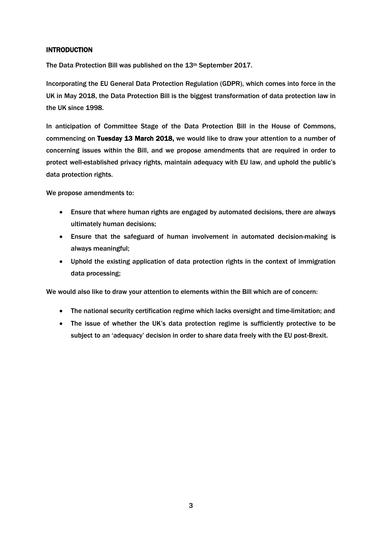# INTRODUCTION

The Data Protection Bill was published on the 13<sup>th</sup> September 2017.

Incorporating the EU General Data Protection Regulation (GDPR), which comes into force in the UK in May 2018, the Data Protection Bill is the biggest transformation of data protection law in the UK since 1998.

In anticipation of Committee Stage of the Data Protection Bill in the House of Commons, commencing on Tuesday 13 March 2018, we would like to draw your attention to a number of concerning issues within the Bill, and we propose amendments that are required in order to protect well-established privacy rights, maintain adequacy with EU law, and uphold the public's data protection rights.

We propose amendments to:

- Ensure that where human rights are engaged by automated decisions, there are always ultimately human decisions;
- Ensure that the safeguard of human involvement in automated decision-making is always meaningful;
- Uphold the existing application of data protection rights in the context of immigration data processing;

We would also like to draw your attention to elements within the Bill which are of concern:

- The national security certification regime which lacks oversight and time-limitation; and
- The issue of whether the UK's data protection regime is sufficiently protective to be subject to an 'adequacy' decision in order to share data freely with the EU post-Brexit.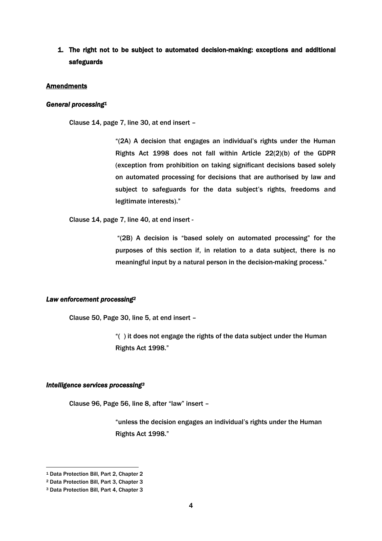# 1. The right not to be subject to automated decision-making: exceptions and additional safeguards

#### **Amendments**

#### *General processing<sup>1</sup>*

Clause 14, page 7, line 30, at end insert –

"(2A) A decision that engages an individual's rights under the Human Rights Act 1998 does not fall within Article 22(2)(b) of the GDPR (exception from prohibition on taking significant decisions based solely on automated processing for decisions that are authorised by law and subject to safeguards for the data subject's rights, freedoms and legitimate interests)."

Clause 14, page 7, line 40, at end insert -

"(2B) A decision is "based solely on automated processing" for the purposes of this section if, in relation to a data subject, there is no meaningful input by a natural person in the decision-making process."

#### *Law enforcement processing<sup>2</sup>*

Clause 50, Page 30, line 5, at end insert –

"( ) it does not engage the rights of the data subject under the Human Rights Act 1998."

#### *Intelligence services processing<sup>3</sup>*

Clause 96, Page 56, line 8, after "law" insert –

"unless the decision engages an individual's rights under the Human Rights Act 1998."

<sup>1</sup> Data Protection Bill, Part 2, Chapter 2

<sup>2</sup> Data Protection Bill, Part 3, Chapter 3

<sup>3</sup> Data Protection Bill, Part 4, Chapter 3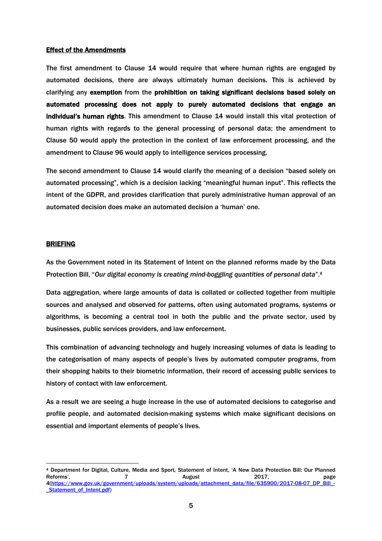#### **Effect of the Amendments**

The first amendment to Clause 14 would require that where human rights are engaged by automated decisions, there are always ultimately human decisions. This is achieved by clarifying any exemption from the prohibition on taking significant decisions based solely on automated processing does not apply to purely automated decisions that engage an individual's human rights. This amendment to Clause 14 would install this vital protection of human rights with regards to the general processing of personal data; the amendment to Clause 50 would apply the protection in the context of law enforcement processing, and the amendment to Clause 96 would apply to intelligence services processing.

The second amendment to Clause 14 would clarify the meaning of a decision "based solely on automated processing", which is a decision lacking "meaningful human input". This reflects the intent of the GDPR, and provides clarification that purely administrative human approval of an automated decision does make an automated decision a 'human' one.

#### BRIEFING

 $\overline{a}$ 

As the Government noted in its Statement of Intent on the planned reforms made by the Data Protection Bill, "*Our digital economy is creating mind-boggling quantities of personal data*".<sup>4</sup>

Data aggregation, where large amounts of data is collated or collected together from multiple sources and analysed and observed for patterns, often using automated programs, systems or algorithms, is becoming a central tool in both the public and the private sector, used by businesses, public services providers, and law enforcement.

This combination of advancing technology and hugely increasing volumes of data is leading to the categorisation of many aspects of people's lives by automated computer programs, from their shopping habits to their biometric information, their record of accessing public services to history of contact with law enforcement.

As a result we are seeing a huge increase in the use of automated decisions to categorise and profile people, and automated decision-making systems which make significant decisions on essential and important elements of people's lives.

<sup>4</sup> Department for Digital, Culture, Media and Sport, Statement of Intent, 'A New Data Protection Bill: Our Planned Reforms', The Contract Contract 2017, Contract 2017, and the page 4[\(https://www.gov.uk/government/uploads/system/uploads/attachment\\_data/file/635900/2017-08-07\\_DP\\_Bill\\_-](https://www.gov.uk/government/uploads/system/uploads/attachment_data/file/635900/2017-08-07_DP_Bill_-_Statement_of_Intent.pdf) [\\_Statement\\_of\\_Intent.pdf\)](https://www.gov.uk/government/uploads/system/uploads/attachment_data/file/635900/2017-08-07_DP_Bill_-_Statement_of_Intent.pdf)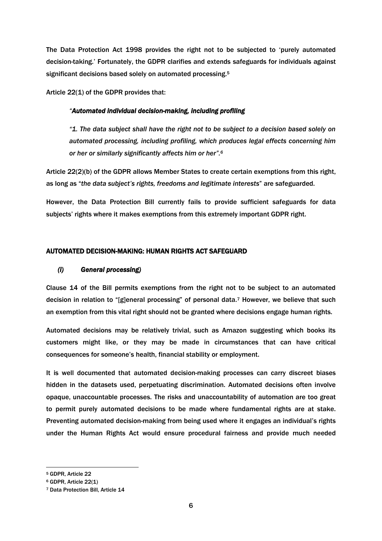The Data Protection Act 1998 provides the right not to be subjected to 'purely automated decision-taking.' Fortunately, the GDPR clarifies and extends safeguards for individuals against significant decisions based solely on automated processing.<sup>5</sup>

Article 22(1) of the GDPR provides that:

#### *"Automated individual decision-making, including profiling*

*"1. The data subject shall have the right not to be subject to a decision based solely on automated processing, including profiling, which produces legal effects concerning him or her or similarly significantly affects him or her".<sup>6</sup>*

Article 22(2)(b) of the GDPR allows Member States to create certain exemptions from this right, as long as "*the data subject's rights, freedoms and legitimate interests*" are safeguarded.

However, the Data Protection Bill currently fails to provide sufficient safeguards for data subjects' rights where it makes exemptions from this extremely important GDPR right.

# AUTOMATED DECISION-MAKING: HUMAN RIGHTS ACT SAFEGUARD

#### *(i) General processing)*

Clause 14 of the Bill permits exemptions from the right not to be subject to an automated decision in relation to "[g]eneral processing" of personal data.<sup>7</sup> However, we believe that such an exemption from this vital right should not be granted where decisions engage human rights.

Automated decisions may be relatively trivial, such as Amazon suggesting which books its customers might like, or they may be made in circumstances that can have critical consequences for someone's health, financial stability or employment.

It is well documented that automated decision-making processes can carry discreet biases hidden in the datasets used, perpetuating discrimination. Automated decisions often involve opaque, unaccountable processes. The risks and unaccountability of automation are too great to permit purely automated decisions to be made where fundamental rights are at stake. Preventing automated decision-making from being used where it engages an individual's rights under the Human Rights Act would ensure procedural fairness and provide much needed

<sup>5</sup> GDPR, Article 22

<sup>6</sup> GDPR, Article 22(1)

<sup>7</sup> Data Protection Bill, Article 14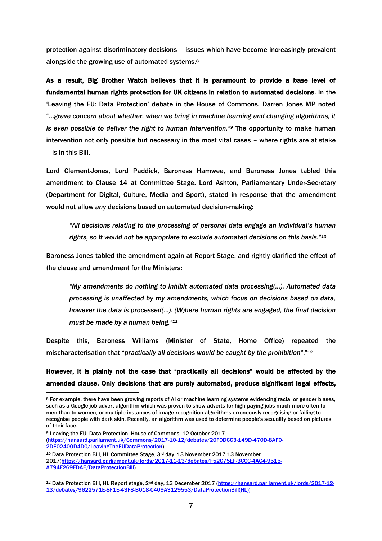protection against discriminatory decisions – issues which have become increasingly prevalent alongside the growing use of automated systems.<sup>8</sup>

As a result, Big Brother Watch believes that it is paramount to provide a base level of fundamental human rights protection for UK citizens in relation to automated decisions. In the 'Leaving the EU: Data Protection' debate in the House of Commons, Darren Jones MP noted "…*grave concern about whether, when we bring in machine learning and changing algorithms, it is even possible to deliver the right to human intervention." <sup>9</sup>* The opportunity to make human intervention not only possible but necessary in the most vital cases – where rights are at stake – is in this Bill.

Lord Clement-Jones, Lord Paddick, Baroness Hamwee, and Baroness Jones tabled this amendment to Clause 14 at Committee Stage. Lord Ashton, Parliamentary Under-Secretary (Department for Digital, Culture, Media and Sport), stated in response that the amendment would not allow *any* decisions based on automated decision-making:

*"All decisions relating to the processing of personal data engage an individual's human rights, so it would not be appropriate to exclude automated decisions on this basis." 10*

Baroness Jones tabled the amendment again at Report Stage, and rightly clarified the effect of the clause and amendment for the Ministers:

*"My amendments do nothing to inhibit automated data processing(…). Automated data processing is unaffected by my amendments, which focus on decisions based on data, however the data is processed(…). (W)here human rights are engaged, the final decision must be made by a human being."<sup>11</sup>*

Despite this, Baroness Williams (Minister of State, Home Office) repeated the mischaracterisation that "*practically all decisions would be caught by the prohibition"*."<sup>12</sup>

# However, it is plainly not the case that "practically all decisions" would be affected by the amended clause. Only decisionsthat are purely automated, produce significant legal effects,

-

2017[\(https://hansard.parliament.uk/lords/2017-11-13/debates/F52C75EF-3CCC-4AC4-9515-](https://hansard.parliament.uk/lords/2017-11-13/debates/F52C75EF-3CCC-4AC4-9515-A794F269FDAE/DataProtectionBill) [A794F269FDAE/DataProtectionBill\)](https://hansard.parliament.uk/lords/2017-11-13/debates/F52C75EF-3CCC-4AC4-9515-A794F269FDAE/DataProtectionBill)

<sup>8</sup> For example, there have been growing reports of AI or machine learning systems evidencing racial or gender biases, such as a Google job advert algorithm which was proven to show adverts for high-paying jobs much more often to men than to women, or multiple instances of image recognition algorithms erroneously recognising or failing to recognise people with dark skin. Recently, an algorithm was used to determine people's sexuality based on pictures of their face.

<sup>9</sup> Leaving the EU; Data Protection, House of Commons, 12 October 2017 [\(https://hansard.parliament.uk/Commons/2017-10-12/debates/20F0DCC3-149D-470D-8AF0-](https://hansard.parliament.uk/Commons/2017-10-12/debates/20F0DCC3-149D-470D-8AF0-2DE02400D4D0/LeavingTheEUDataProtection) [2DE02400D4D0/LeavingTheEUDataProtection\)](https://hansard.parliament.uk/Commons/2017-10-12/debates/20F0DCC3-149D-470D-8AF0-2DE02400D4D0/LeavingTheEUDataProtection) <sup>10</sup> Data Protection Bill, HL Committee Stage, 3rd day, 13 November 2017 13 November

<sup>12</sup> Data Protection Bill, HL Report stage, 2nd day, 13 December 2017 [\(https://hansard.parliament.uk/lords/2017-12-](https://hansard.parliament.uk/lords/2017-12-13/debates/9622571E-8F1E-43F8-B018-C409A3129553/DataProtectionBill(HL))) [13/debates/9622571E-8F1E-43F8-B018-C409A3129553/DataProtectionBill\(HL\)\)](https://hansard.parliament.uk/lords/2017-12-13/debates/9622571E-8F1E-43F8-B018-C409A3129553/DataProtectionBill(HL)))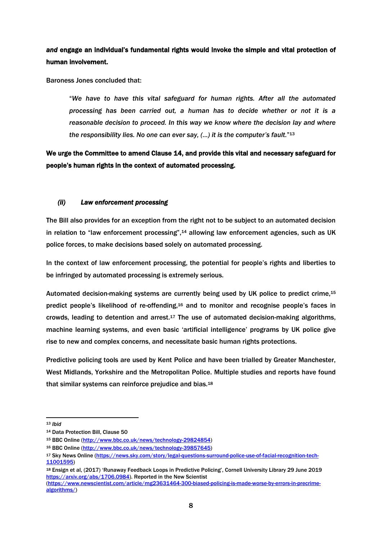# *and* engage an individual's fundamental rights would invoke the simple and vital protection of human involvement.

Baroness Jones concluded that:

"*We have to have this vital safeguard for human rights. After all the automated processing has been carried out, a human has to decide whether or not it is a reasonable decision to proceed. In this way we know where the decision lay and where the responsibility lies. No one can ever say, (…) it is the computer's fault.*" 13

We urge the Committee to amend Clause 14, and provide this vital and necessary safeguard for people's human rights in the context of automated processing.

# *(ii) Law enforcement processing*

The Bill also provides for an exception from the right not to be subject to an automated decision in relation to "law enforcement processing",<sup>14</sup> allowing law enforcement agencies, such as UK police forces, to make decisions based solely on automated processing.

In the context of law enforcement processing, the potential for people's rights and liberties to be infringed by automated processing is extremely serious.

Automated decision-making systems are currently being used by UK police to predict crime,<sup>15</sup> predict people's likelihood of re-offending,<sup>16</sup> and to monitor and recognise people's faces in crowds, leading to detention and arrest.<sup>17</sup> The use of automated decision-making algorithms, machine learning systems, and even basic 'artificial intelligence' programs by UK police give rise to new and complex concerns, and necessitate basic human rights protections.

Predictive policing tools are used by Kent Police and have been trialled by Greater Manchester, West Midlands, Yorkshire and the Metropolitan Police. Multiple studies and reports have found that similar systems can reinforce prejudice and bias.<sup>18</sup>

<sup>13</sup> *Ibid*

<sup>14</sup> Data Protection Bill, Clause 50

<sup>15</sup> BBC Online [\(http://www.bbc.co.uk/news/technology-29824854\)](http://www.bbc.co.uk/news/technology-29824854)

<sup>16</sup> BBC Online [\(http://www.bbc.co.uk/news/technology-39857645\)](http://www.bbc.co.uk/news/technology-39857645)

<sup>17</sup> Sky News Online [\(https://news.sky.com/story/legal-questions-surround-police-use-of-facial-recognition-tech-](https://news.sky.com/story/legal-questions-surround-police-use-of-facial-recognition-tech-11001595)[11001595\)](https://news.sky.com/story/legal-questions-surround-police-use-of-facial-recognition-tech-11001595)

<sup>18</sup> Ensign et al, (2017) 'Runaway Feedback Loops in Predictive Policing', Cornell University Library 29 June 2019 [https://arxiv.org/abs/1706.0984\)](https://arxiv.org/abs/1706.0984). Reported in the New Scientist

[<sup>\(</sup>https://www.newscientist.com/article/mg23631464-300-biased-policing-is-made-worse-by-errors-in-precrime](https://www.newscientist.com/article/mg23631464-300-biased-policing-is-made-worse-by-errors-in-precrime-algorithms/)[algorithms/\)](https://www.newscientist.com/article/mg23631464-300-biased-policing-is-made-worse-by-errors-in-precrime-algorithms/)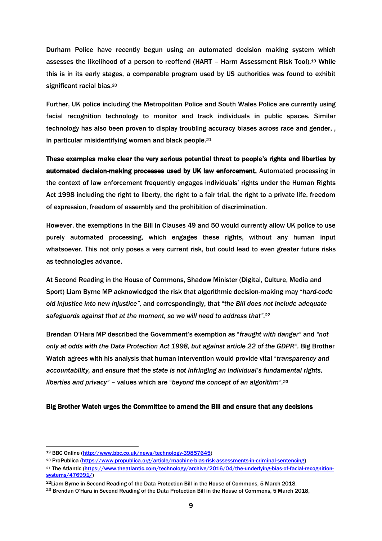Durham Police have recently begun using an automated decision making system which assesses the likelihood of a person to reoffend (HART - Harm Assessment Risk Tool).<sup>19</sup> While this is in its early stages, a comparable program used by US authorities was found to exhibit significant racial bias.<sup>20</sup>

Further, UK police including the Metropolitan Police and South Wales Police are currently using facial recognition technology to monitor and track individuals in public spaces. Similar technology has also been proven to display troubling accuracy biases across race and gender, , in particular misidentifying women and black people. 21

These examples make clear the very serious potential threat to people's rights and liberties by automated decision-making processes used by UK law enforcement. Automated processing in the context of law enforcement frequently engages individuals' rights under the Human Rights Act 1998 including the right to liberty, the right to a fair trial, the right to a private life, freedom of expression, freedom of assembly and the prohibition of discrimination.

However, the exemptions in the Bill in Clauses 49 and 50 would currently allow UK police to use purely automated processing, which engages these rights, without any human input whatsoever. This not only poses a very current risk, but could lead to even greater future risks as technologies advance.

At Second Reading in the House of Commons, Shadow Minister (Digital, Culture, Media and Sport) Liam Byrne MP acknowledged the risk that algorithmic decision-making may "*hard-code old injustice into new injustice",* and correspondingly, that "*the Bill does not include adequate safeguards against that at the moment, so we will need to address that".* 22

Brendan O'Hara MP described the Government's exemption as "*fraught with danger"* and *"not only at odds with the Data Protection Act 1998, but against article 22 of the GDPR".* Big Brother Watch agrees with his analysis that human intervention would provide vital "*transparency and accountability, and ensure that the state is not infringing an individual's fundamental rights, liberties and privacy" –* values which are "*beyond the concept of an algorithm".* 23

#### Big Brother Watch urges the Committee to amend the Bill and ensure that any decisions

<sup>19</sup> BBC Online [\(http://www.bbc.co.uk/news/technology-39857645\)](http://www.bbc.co.uk/news/technology-39857645)

<sup>20</sup> ProPublica [\(https://www.propublica.org/article/machine-bias-risk-assessments-in-criminal-sentencing\)](https://www.propublica.org/article/machine-bias-risk-assessments-in-criminal-sentencing)

<sup>21</sup> The Atlantic [\(https://www.theatlantic.com/technology/archive/2016/04/the-underlying-bias-of-facial-recognition](https://www.theatlantic.com/technology/archive/2016/04/the-underlying-bias-of-facial-recognition-systems/476991/)[systems/476991/\)](https://www.theatlantic.com/technology/archive/2016/04/the-underlying-bias-of-facial-recognition-systems/476991/)

<sup>&</sup>lt;sup>22</sup> Liam Byrne in Second Reading of the Data Protection Bill in the House of Commons, 5 March 2018.

<sup>&</sup>lt;sup>23</sup> Brendan O'Hara in Second Reading of the Data Protection Bill in the House of Commons, 5 March 2018,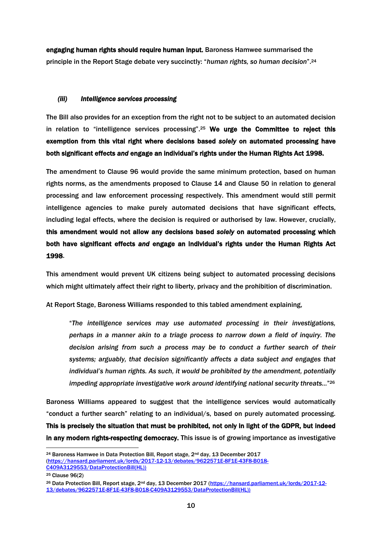engaging human rights should require human input. Baroness Hamwee summarised the principle in the Report Stage debate very succinctly: "*human rights, so human decision*".<sup>24</sup>

# *(iii) Intelligence services processing*

The Bill also provides for an exception from the right not to be subject to an automated decision in relation to "intelligence services processing".<sup>25</sup> We urge the Committee to reject this exemption from this vital right where decisions based *solely* on automated processing have both significant effects *and* engage an individual's rights under the Human Rights Act 1998.

The amendment to Clause 96 would provide the same minimum protection, based on human rights norms, as the amendments proposed to Clause 14 and Clause 50 in relation to general processing and law enforcement processing respectively. This amendment would still permit intelligence agencies to make purely automated decisions that have significant effects, including legal effects, where the decision is required or authorised by law. However, crucially, this amendment would not allow any decisions based *solely* on automated processing which both have significant effects *and* engage an individual's rights under the Human Rights Act 1998.

This amendment would prevent UK citizens being subject to automated processing decisions which might ultimately affect their right to liberty, privacy and the prohibition of discrimination.

At Report Stage, Baroness Williams responded to this tabled amendment explaining,

"*The intelligence services may use automated processing in their investigations, perhaps in a manner akin to a triage process to narrow down a field of inquiry. The decision arising from such a process may be to conduct a further search of their systems; arguably, that decision significantly affects a data subject and engages that individual's human rights. As such, it would be prohibited by the amendment, potentially impeding appropriate investigative work around identifying national security threats...*" 26

Baroness Williams appeared to suggest that the intelligence services would automatically "conduct a further search" relating to an individual/s, based on purely automated processing. This is precisely the situation that must be prohibited, not only in light of the GDPR, but indeed in any modern rights-respecting democracy. This issue is of growing importance as investigative

<sup>&</sup>lt;sup>24</sup> Baroness Hamwee in Data Protection Bill, Report stage,  $2<sup>nd</sup>$  day, 13 December 2017 [\(https://hansard.parliament.uk/lords/2017-12-13/debates/9622571E-8F1E-43F8-B018-](https://hansard.parliament.uk/lords/2017-12-13/debates/9622571E-8F1E-43F8-B018-C409A3129553/DataProtectionBill(HL))) [C409A3129553/DataProtectionBill\(HL\)\)](https://hansard.parliament.uk/lords/2017-12-13/debates/9622571E-8F1E-43F8-B018-C409A3129553/DataProtectionBill(HL)))

<sup>25</sup> Clause 96(2)

<sup>26</sup> Data Protection Bill, Report stage, 2nd day, 13 December 2017 [\(https://hansard.parliament.uk/lords/2017-12-](https://hansard.parliament.uk/lords/2017-12-13/debates/9622571E-8F1E-43F8-B018-C409A3129553/DataProtectionBill(HL))) [13/debates/9622571E-8F1E-43F8-B018-C409A3129553/DataProtectionBill\(HL\)\)](https://hansard.parliament.uk/lords/2017-12-13/debates/9622571E-8F1E-43F8-B018-C409A3129553/DataProtectionBill(HL)))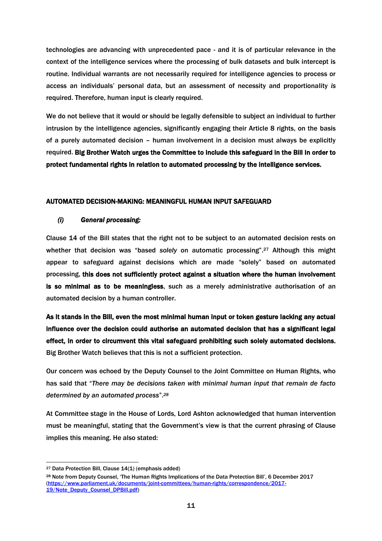technologies are advancing with unprecedented pace - and it is of particular relevance in the context of the intelligence services where the processing of bulk datasets and bulk intercept is routine. Individual warrants are not necessarily required for intelligence agencies to process or access an individuals' personal data, but an assessment of necessity and proportionality *is*  required. Therefore, human input is clearly required.

We do not believe that it would or should be legally defensible to subject an individual to further intrusion by the intelligence agencies, significantly engaging their Article 8 rights, on the basis of a purely automated decision – human involvement in a decision must always be explicitly required. Big Brother Watch urges the Committee to include this safeguard in the Bill in order to protect fundamental rights in relation to automated processing by the intelligence services.

# AUTOMATED DECISION-MAKING: MEANINGFUL HUMAN INPUT SAFEGUARD

# *(i) General processing:*

Clause 14 of the Bill states that the right not to be subject to an automated decision rests on whether that decision was "based *solely* on automatic processing". <sup>27</sup> Although this might appear to safeguard against decisions which are made "solely" based on automated processing, this does not sufficiently protect against a situation where the human involvement is so minimal as to be meaningless, such as a merely administrative authorisation of an automated decision by a human controller.

As it stands in the Bill, even the most minimal human input or token gesture lacking any actual influence over the decision could authorise an automated decision that has a significant legal effect, in order to circumvent this vital safeguard prohibiting such solely automated decisions. Big Brother Watch believes that this is not a sufficient protection.

Our concern was echoed by the Deputy Counsel to the Joint Committee on Human Rights, who has said that "*There may be decisions taken with minimal human input that remain de facto determined by an automated process*".*<sup>28</sup>*

At Committee stage in the House of Lords, Lord Ashton acknowledged that human intervention must be meaningful, stating that the Government's view is that the current phrasing of Clause implies this meaning. He also stated:

<sup>27</sup> Data Protection Bill, Clause 14(1) (emphasis added)

<sup>28</sup> Note from Deputy Counsel, 'The Human Rights Implications of the Data Protection Bill', 6 December 2017 [\(https://www.parliament.uk/documents/joint-committees/human-rights/correspondence/2017-](https://www.parliament.uk/documents/joint-committees/human-rights/correspondence/2017-19/Note_Deputy_Counsel_DPBill.pdf) [19/Note\\_Deputy\\_Counsel\\_DPBill.pdf\)](https://www.parliament.uk/documents/joint-committees/human-rights/correspondence/2017-19/Note_Deputy_Counsel_DPBill.pdf)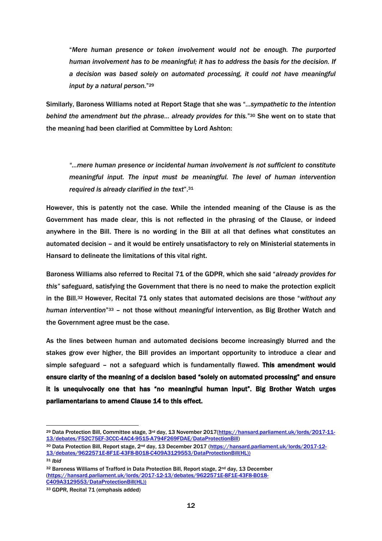"*Mere human presence or token involvement would not be enough. The purported human involvement has to be meaningful; it has to address the basis for the decision. If a decision was based solely on automated processing, it could not have meaningful input by a natural person.*" 29

Similarly, Baroness Williams noted at Report Stage that she was "*…sympathetic to the intention behind the amendment but the phrase… already provides for this.*" <sup>30</sup> She went on to state that the meaning had been clarified at Committee by Lord Ashton:

*"…mere human presence or incidental human involvement is not sufficient to constitute meaningful input. The input must be meaningful. The level of human intervention required is already clarified in the text*".<sup>31</sup>

However, this is patently not the case. While the intended meaning of the Clause is as the Government has made clear, this is not reflected in the phrasing of the Clause, or indeed anywhere in the Bill. There is no wording in the Bill at all that defines what constitutes an automated decision – and it would be entirely unsatisfactory to rely on Ministerial statements in Hansard to delineate the limitations of this vital right.

Baroness Williams also referred to Recital 71 of the GDPR, which she said "*already provides for this"* safeguard, satisfying the Government that there is no need to make the protection explicit in the Bill.<sup>32</sup> However, Recital 71 only states that automated decisions are those "*without any human intervention*" <sup>33</sup> – not those without *meaningful* intervention, as Big Brother Watch and the Government agree must be the case.

As the lines between human and automated decisions become increasingly blurred and the stakes grow ever higher, the Bill provides an important opportunity to introduce a clear and simple safeguard - not a safeguard which is fundamentally flawed. This amendment would ensure clarity of the meaning of a decision based "solely on automated processing" and ensure it is unequivocally one that has "no meaningful human input". Big Brother Watch urges parliamentarians to amend Clause 14 to this effect.

<sup>&</sup>lt;sup>29</sup> Data Protection Bill, Committee stage, 3<sup>rd</sup> day, 13 November 2017[\(https://hansard.parliament.uk/lords/2017-11-](https://hansard.parliament.uk/lords/2017-11-13/debates/F52C75EF-3CCC-4AC4-9515-A794F269FDAE/DataProtectionBill) [13/debates/F52C75EF-3CCC-4AC4-9515-A794F269FDAE/DataProtectionBill\)](https://hansard.parliament.uk/lords/2017-11-13/debates/F52C75EF-3CCC-4AC4-9515-A794F269FDAE/DataProtectionBill) 

<sup>30</sup> Data Protection Bill, Report stage, 2<sup>nd</sup> day, 13 December 2017 [\(https://hansard.parliament.uk/lords/2017-12-](https://hansard.parliament.uk/lords/2017-12-13/debates/9622571E-8F1E-43F8-B018-C409A3129553/DataProtectionBill(HL))) [13/debates/9622571E-8F1E-43F8-B018-C409A3129553/DataProtectionBill\(HL\)\)](https://hansard.parliament.uk/lords/2017-12-13/debates/9622571E-8F1E-43F8-B018-C409A3129553/DataProtectionBill(HL)))

<sup>31</sup> *Ibid*

<sup>32</sup> Baroness Williams of Trafford in Data Protection Bill, Report stage, 2<sup>nd</sup> day, 13 December [\(https://hansard.parliament.uk/lords/2017-12-13/debates/9622571E-8F1E-43F8-B018-](https://hansard.parliament.uk/lords/2017-12-13/debates/9622571E-8F1E-43F8-B018-C409A3129553/DataProtectionBill(HL))) [C409A3129553/DataProtectionBill\(HL\)\)](https://hansard.parliament.uk/lords/2017-12-13/debates/9622571E-8F1E-43F8-B018-C409A3129553/DataProtectionBill(HL)))

<sup>33</sup> GDPR, Recital 71 (emphasis added)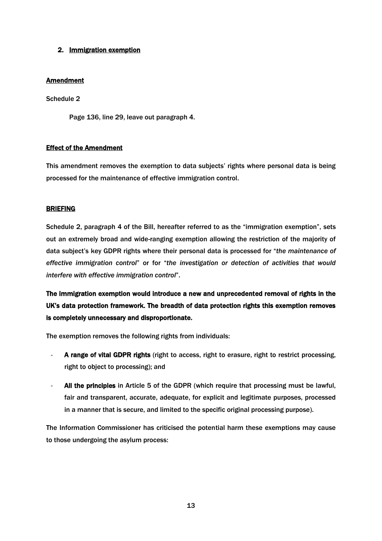# 2. Immigration exemption

# **Amendment**

Schedule 2

Page 136, line 29, leave out paragraph 4.

# Effect of the Amendment

This amendment removes the exemption to data subjects' rights where personal data is being processed for the maintenance of effective immigration control.

# BRIEFING

Schedule 2, paragraph 4 of the Bill, hereafter referred to as the "immigration exemption", sets out an extremely broad and wide-ranging exemption allowing the restriction of the majority of data subject's key GDPR rights where their personal data is processed for "*the maintenance of effective immigration control*" or for "*the investigation or detection of activities that would interfere with effective immigration control*".

The immigration exemption would introduce a new and unprecedented removal of rights in the UK's data protection framework. The breadth of data protection rights this exemption removes is completely unnecessary and disproportionate.

The exemption removes the following rights from individuals:

- A range of vital GDPR rights (right to access, right to erasure, right to restrict processing, right to object to processing); and
- All the principles in Article 5 of the GDPR (which require that processing must be lawful, fair and transparent, accurate, adequate, for explicit and legitimate purposes, processed in a manner that is secure, and limited to the specific original processing purpose).

The Information Commissioner has criticised the potential harm these exemptions may cause to those undergoing the asylum process: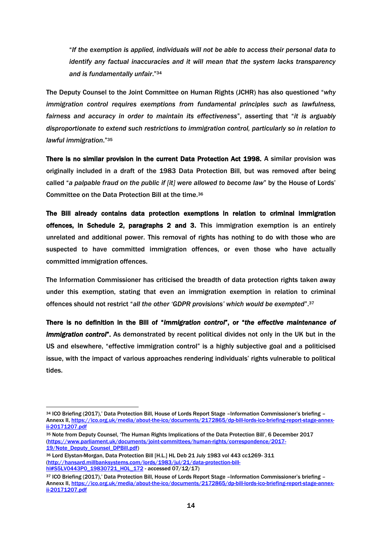"*If the exemption is applied, individuals will not be able to access their personal data to identify any factual inaccuracies and it will mean that the system lacks transparency and is fundamentally unfair*."<sup>34</sup>

The Deputy Counsel to the Joint Committee on Human Rights (JCHR) has also questioned "*why immigration control requires exemptions from fundamental principles such as lawfulness, fairness and accuracy in order to maintain its effectiveness*", asserting that "*it is arguably disproportionate to extend such restrictions to immigration control, particularly so in relation to lawful immigration*."<sup>35</sup>

There is no similar provision in the current Data Protection Act 1998. A similar provision was originally included in a draft of the 1983 Data Protection Bill, but was removed after being called "*a palpable fraud on the public if [it] were allowed to become law*" by the House of Lords' Committee on the Data Protection Bill at the time.<sup>36</sup>

The Bill already contains data protection exemptions in relation to criminal immigration offences, in Schedule 2, paragraphs 2 and 3. This immigration exemption is an entirely unrelated and additional power. This removal of rights has nothing to do with those who are suspected to have committed immigration offences, or even those who have actually committed immigration offences.

The Information Commissioner has criticised the breadth of data protection rights taken away under this exemption, stating that even an immigration exemption in relation to criminal offences should not restrict "*all the other 'GDPR provisions' which would be exempted*". 37

There is no definition in the Bill of "*immigration control*", or "*the effective maintenance of immigration control*". As demonstrated by recent political divides not only in the UK but in the US and elsewhere, "effective immigration control" is a highly subjective goal and a politicised issue, with the impact of various approaches rendering individuals' rights vulnerable to political tides.

<sup>34</sup> ICO Briefing (2017),' Data Protection Bill, House of Lords Report Stage –Information Commissioner's briefing – Annexx II[, https://ico.org.uk/media/about-the-ico/documents/2172865/dp-bill-lords-ico-briefing-report-stage-annex](https://ico.org.uk/media/about-the-ico/documents/2172865/dp-bill-lords-ico-briefing-report-stage-annex-ii-20171207.pdf)[ii-20171207.pdf](https://ico.org.uk/media/about-the-ico/documents/2172865/dp-bill-lords-ico-briefing-report-stage-annex-ii-20171207.pdf)

<sup>35</sup> Note from Deputy Counsel, 'The Human Rights Implications of the Data Protection Bill', 6 December 2017 [\(https://www.parliament.uk/documents/joint-committees/human-rights/correspondence/2017-](https://www.parliament.uk/documents/joint-committees/human-rights/correspondence/2017-19/Note_Deputy_Counsel_DPBill.pdf) [19/Note\\_Deputy\\_Counsel\\_DPBill.pdf\)](https://www.parliament.uk/documents/joint-committees/human-rights/correspondence/2017-19/Note_Deputy_Counsel_DPBill.pdf)

<sup>36</sup> Lord Elystan-Morgan, Data Protection Bill [H.L.] HL Deb 21 July 1983 vol 443 cc1269- 311 [\(http://hansard.millbanksystems.com/lords/1983/jul/21/data-protection-bill](http://hansard.millbanksystems.com/lords/1983/jul/21/data-protection-bill-hl#S5LV0443P0_19830721_HOL_172)[hl#S5LV0443P0\\_19830721\\_HOL\\_172](http://hansard.millbanksystems.com/lords/1983/jul/21/data-protection-bill-hl#S5LV0443P0_19830721_HOL_172) - accessed 07/12/17)

<sup>37</sup> ICO Briefing (2017),' Data Protection Bill, House of Lords Report Stage –Information Commissioner's briefing – Annexx II[, https://ico.org.uk/media/about-the-ico/documents/2172865/dp-bill-lords-ico-briefing-report-stage-annex](https://ico.org.uk/media/about-the-ico/documents/2172865/dp-bill-lords-ico-briefing-report-stage-annex-ii-20171207.pdf)[ii-20171207.pdf](https://ico.org.uk/media/about-the-ico/documents/2172865/dp-bill-lords-ico-briefing-report-stage-annex-ii-20171207.pdf)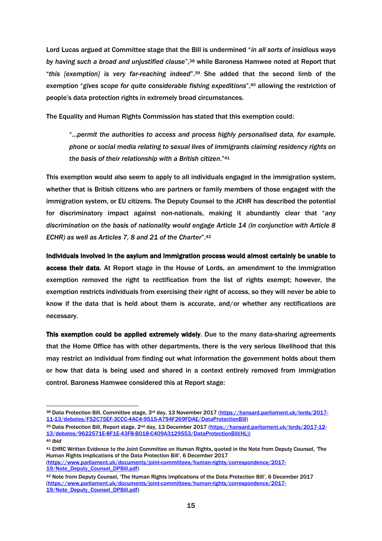Lord Lucas argued at Committee stage that the Bill is undermined "*in all sorts of insidious ways by having such a broad and unjustified clause*",<sup>38</sup> while Baroness Hamwee noted at Report that "*this [exemption] is very far-reaching indeed*".<sup>39</sup> She added that the second limb of the exemption "*gives scope for quite considerable fishing expeditions*",<sup>40</sup> allowing the restriction of people's data protection rights in extremely broad circumstances.

The Equality and Human Rights Commission has stated that this exemption could:

"…*permit the authorities to access and process highly personalised data, for example, phone or social media relating to sexual lives of immigrants claiming residency rights on the basis of their relationship with a British citizen*."<sup>41</sup>

This exemption would also seem to apply to all individuals engaged in the immigration system, whether that is British citizens who are partners or family members of those engaged with the immigration system, or EU citizens. The Deputy Counsel to the JCHR has described the potential for discriminatory impact against non-nationals, making it abundantly clear that "*any discrimination on the basis of nationality would engage Article 14 (in conjunction with Article 8 ECHR) as well as Articles 7, 8 and 21 of the Charter*".<sup>42</sup>

Individuals involved in the asylum and immigration process would almost certainly be unable to access their data. At Report stage in the House of Lords, an amendment to the immigration exemption removed the right to rectification from the list of rights exempt; however, the exemption restricts individuals from exercising their right of access, so they will never be able to know if the data that is held about them is accurate, and/or whether any rectifications are necessary.

This exemption could be applied extremely widely. Due to the many data-sharing agreements that the Home Office has with other departments, there is the very serious likelihood that this may restrict an individual from finding out what information the government holds about them or how that data is being used and shared in a context entirely removed from immigration control. Baroness Hamwee considered this at Report stage:

<sup>38</sup> Data Protection Bill, Committee stage, 3<sup>rd</sup> day, 13 November 2017 [\(https://hansard.parliament.uk/lords/2017-](https://hansard.parliament.uk/lords/2017-11-13/debates/F52C75EF-3CCC-4AC4-9515-A794F269FDAE/DataProtectionBill) [11-13/debates/F52C75EF-3CCC-4AC4-9515-A794F269FDAE/DataProtectionBill\)](https://hansard.parliament.uk/lords/2017-11-13/debates/F52C75EF-3CCC-4AC4-9515-A794F269FDAE/DataProtectionBill)

<sup>39</sup> Data Protection Bill, Report stage, 2<sup>nd</sup> day, 13 December 2017 [\(https://hansard.parliament.uk/lords/2017-12-](https://hansard.parliament.uk/lords/2017-12-13/debates/9622571E-8F1E-43F8-B018-C409A3129553/DataProtectionBill(HL))) [13/debates/9622571E-8F1E-43F8-B018-C409A3129553/DataProtectionBill\(HL\)\)](https://hansard.parliament.uk/lords/2017-12-13/debates/9622571E-8F1E-43F8-B018-C409A3129553/DataProtectionBill(HL))) <sup>40</sup> *Ibid*

<sup>41</sup> EHRC Written Evidence to the Joint Committee on Human Rights, quoted in the Note from Deputy Counsel, 'The Human Rights Implications of the Data Protection Bill', 6 December 2017

[<sup>\(</sup>https://www.parliament.uk/documents/joint-committees/human-rights/correspondence/2017-](https://www.parliament.uk/documents/joint-committees/human-rights/correspondence/2017-19/Note_Deputy_Counsel_DPBill.pdf) [19/Note\\_Deputy\\_Counsel\\_DPBill.pdf\)](https://www.parliament.uk/documents/joint-committees/human-rights/correspondence/2017-19/Note_Deputy_Counsel_DPBill.pdf)

<sup>42</sup> Note from Deputy Counsel, 'The Human Rights Implications of the Data Protection Bill', 6 December 2017 [\(https://www.parliament.uk/documents/joint-committees/human-rights/correspondence/2017-](https://www.parliament.uk/documents/joint-committees/human-rights/correspondence/2017-19/Note_Deputy_Counsel_DPBill.pdf) [19/Note\\_Deputy\\_Counsel\\_DPBill.pdf\)](https://www.parliament.uk/documents/joint-committees/human-rights/correspondence/2017-19/Note_Deputy_Counsel_DPBill.pdf)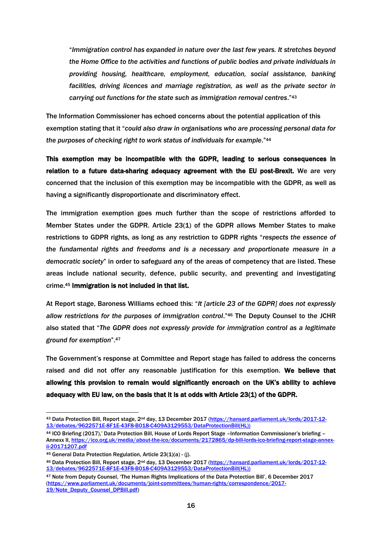"*Immigration control has expanded in nature over the last few years. It stretches beyond the Home Office to the activities and functions of public bodies and private individuals in providing housing, healthcare, employment, education, social assistance, banking facilities, driving licences and marriage registration, as well as the private sector in carrying out functions for the state such as immigration removal centres*."<sup>43</sup>

The Information Commissioner has echoed concerns about the potential application of this exemption stating that it "*could also draw in organisations who are processing personal data for the purposes of checking right to work status of individuals for example*." 44

This exemption may be incompatible with the GDPR, leading to serious consequences in relation to a future data-sharing adequacy agreement with the EU post-Brexit. We are very concerned that the inclusion of this exemption may be incompatible with the GDPR, as well as having a significantly disproportionate and discriminatory effect.

The immigration exemption goes much further than the scope of restrictions afforded to Member States under the GDPR. Article 23(1) of the GDPR allows Member States to make restrictions to GDPR rights, as long as any restriction to GDPR rights "*respects the essence of the fundamental rights and freedoms and is a necessary and proportionate measure in a democratic society*" in order to safeguard any of the areas of competency that are listed. These areas include national security, defence, public security, and preventing and investigating crime. <sup>45</sup> Immigration is not included in that list.

At Report stage, Baroness Williams echoed this: "*It [article 23 of the GDPR] does not expressly allow restrictions for the purposes of immigration control*."<sup>46</sup> The Deputy Counsel to the JCHR also stated that "*The GDPR does not expressly provide for immigration control as a legitimate ground for exemption*".<sup>47</sup>

The Government's response at Committee and Report stage has failed to address the concerns raised and did not offer any reasonable justification for this exemption. We believe that allowing this provision to remain would significantly encroach on the UK's ability to achieve adequacy with EU law, on the basis that it is at odds with Article 23(1) of the GDPR.

<sup>43</sup> Data Protection Bill, Report stage, 2<sup>nd</sup> day, 13 December 2017 [\(https://hansard.parliament.uk/lords/2017-12-](https://hansard.parliament.uk/lords/2017-12-13/debates/9622571E-8F1E-43F8-B018-C409A3129553/DataProtectionBill(HL))) [13/debates/9622571E-8F1E-43F8-B018-C409A3129553/DataProtectionBill\(HL\)\)](https://hansard.parliament.uk/lords/2017-12-13/debates/9622571E-8F1E-43F8-B018-C409A3129553/DataProtectionBill(HL)))

<sup>44</sup> ICO Briefing (2017),' Data Protection Bill, House of Lords Report Stage –Information Commissioner's briefing – Annexx II[, https://ico.org.uk/media/about-the-ico/documents/2172865/dp-bill-lords-ico-briefing-report-stage-annex](https://ico.org.uk/media/about-the-ico/documents/2172865/dp-bill-lords-ico-briefing-report-stage-annex-ii-20171207.pdf)[ii-20171207.pdf](https://ico.org.uk/media/about-the-ico/documents/2172865/dp-bill-lords-ico-briefing-report-stage-annex-ii-20171207.pdf)

<sup>45</sup> General Data Protection Regulation, Article 23(1)(a) - (j).

<sup>46</sup> Data Protection Bill, Report stage, 2nd day, 13 December 2017 [\(https://hansard.parliament.uk/lords/2017-12-](https://hansard.parliament.uk/lords/2017-12-13/debates/9622571E-8F1E-43F8-B018-C409A3129553/DataProtectionBill(HL))) [13/debates/9622571E-8F1E-43F8-B018-C409A3129553/DataProtectionBill\(HL\)\)](https://hansard.parliament.uk/lords/2017-12-13/debates/9622571E-8F1E-43F8-B018-C409A3129553/DataProtectionBill(HL)))

<sup>47</sup> Note from Deputy Counsel, 'The Human Rights Implications of the Data Protection Bill', 6 December 2017 [\(https://www.parliament.uk/documents/joint-committees/human-rights/correspondence/2017-](https://www.parliament.uk/documents/joint-committees/human-rights/correspondence/2017-19/Note_Deputy_Counsel_DPBill.pdf) [19/Note\\_Deputy\\_Counsel\\_DPBill.pdf\)](https://www.parliament.uk/documents/joint-committees/human-rights/correspondence/2017-19/Note_Deputy_Counsel_DPBill.pdf)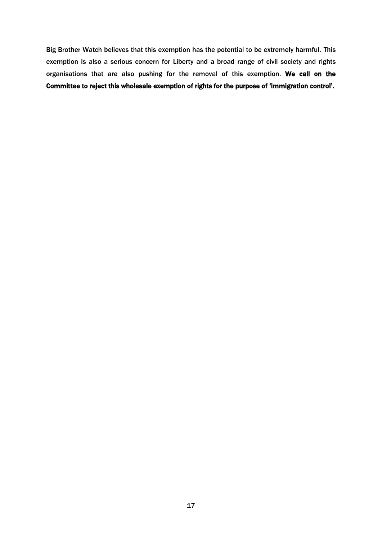Big Brother Watch believes that this exemption has the potential to be extremely harmful. This exemption is also a serious concern for Liberty and a broad range of civil society and rights organisations that are also pushing for the removal of this exemption. We call on the Committee to reject this wholesale exemption of rights for the purpose of 'immigration control'.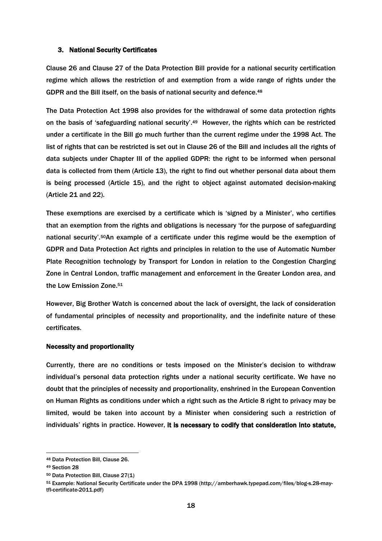#### 3. National Security Certificates

Clause 26 and Clause 27 of the Data Protection Bill provide for a national security certification regime which allows the restriction of and exemption from a wide range of rights under the GDPR and the Bill itself, on the basis of national security and defence.<sup>48</sup>

The Data Protection Act 1998 also provides for the withdrawal of some data protection rights on the basis of 'safeguarding national security'. <sup>49</sup> However, the rights which can be restricted under a certificate in the Bill go much further than the current regime under the 1998 Act. The list of rights that can be restricted is set out in Clause 26 of the Bill and includes all the rights of data subjects under Chapter III of the applied GDPR: the right to be informed when personal data is collected from them (Article 13), the right to find out whether personal data about them is being processed (Article 15), and the right to object against automated decision-making (Article 21 and 22).

These exemptions are exercised by a certificate which is 'signed by a Minister', who certifies that an exemption from the rights and obligations is necessary 'for the purpose of safeguarding national security'.50An example of a certificate under this regime would be the exemption of GDPR and Data Protection Act rights and principles in relation to the use of Automatic Number Plate Recognition technology by Transport for London in relation to the Congestion Charging Zone in Central London, traffic management and enforcement in the Greater London area, and the Low Emission Zone.<sup>51</sup>

However, Big Brother Watch is concerned about the lack of oversight, the lack of consideration of fundamental principles of necessity and proportionality, and the indefinite nature of these certificates.

#### Necessity and proportionality

Currently, there are no conditions or tests imposed on the Minister's decision to withdraw individual's personal data protection rights under a national security certificate. We have no doubt that the principles of necessity and proportionality, enshrined in the European Convention on Human Rights as conditions under which a right such as the Article 8 right to privacy may be limited, would be taken into account by a Minister when considering such a restriction of individuals' rights in practice. However, it is necessary to codify that consideration into statute,

<sup>48</sup> Data Protection Bill, Clause 26.

<sup>49</sup> Section 28

<sup>50</sup> Data Protection Bill, Clause 27(1)

<sup>51</sup> Example: National Security Certificate under the DPA 1998 (http://amberhawk.typepad.com/files/blog-s.28-maytfl-certificate-2011.pdf)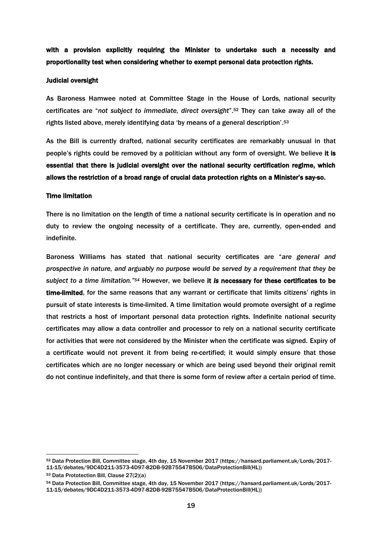with a provision explicitly requiring the Minister to undertake such a necessity and proportionality test when considering whether to exempt personal data protection rights.

#### Judicial oversight

As Baroness Hamwee noted at Committee Stage in the House of Lords, national security certificates are "*not subject to immediate, direct oversight*".<sup>52</sup> They can take away all of the rights listed above, merely identifying data 'by means of a general description'. 53

As the Bill is currently drafted, national security certificates are remarkably unusual in that people's rights could be removed by a politician without any form of oversight. We believe it is essential that there is judicial oversight over the national security certification regime, which allows the restriction of a broad range of crucial data protection rights on a Minister's say-so.

#### Time limitation

There is no limitation on the length of time a national security certificate is in operation and no duty to review the ongoing necessity of a certificate. They are, currently, open-ended and indefinite.

Baroness Williams has stated that national security certificates are "*are general and prospective in nature, and arguably no purpose would be served by a requirement that they be subject to a time limitation." <sup>54</sup>* However, we believe it *is* necessary for these certificates to be time-limited, for the same reasons that any warrant or certificate that limits citizens' rights in pursuit of state interests is time-limited. A time limitation would promote oversight of a regime that restricts a host of important personal data protection rights. Indefinite national security certificates may allow a data controller and processor to rely on a national security certificate for activities that were not considered by the Minister when the certificate was signed. Expiry of a certificate would not prevent it from being re-certified; it would simply ensure that those certificates which are no longer necessary or which are being used beyond their original remit do not continue indefinitely, and that there is some form of review after a certain period of time.

<sup>52</sup> Data Protection Bill, Committee stage, 4th day, 15 November 2017 (https://hansard.parliament.uk/Lords/2017- 11-15/debates/9DC4D211-3573-4D97-82DB-92B75547B506/DataProtectionBill(HL))

<sup>53</sup> Data Prototection Bill, Clause 27(2)(a)

<sup>54</sup> Data Protection Bill, Committee stage, 4th day, 15 November 2017 (https://hansard.parliament.uk/Lords/2017- 11-15/debates/9DC4D211-3573-4D97-82DB-92B75547B506/DataProtectionBill(HL))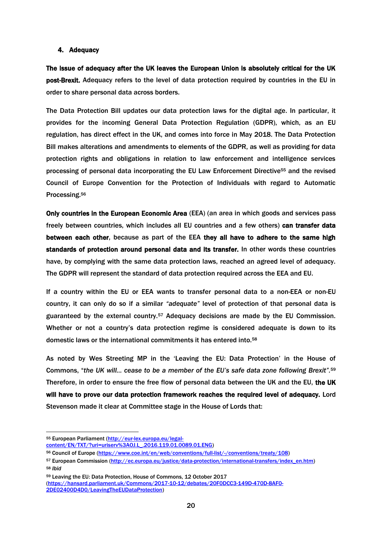#### 4. Adequacy

The issue of adequacy after the UK leaves the European Union is absolutely critical for the UK post-Brexit. Adequacy refers to the level of data protection required by countries in the EU in order to share personal data across borders.

The Data Protection Bill updates our data protection laws for the digital age. In particular, it provides for the incoming General Data Protection Regulation (GDPR), which, as an EU regulation, has direct effect in the UK, and comes into force in May 2018. The Data Protection Bill makes alterations and amendments to elements of the GDPR, as well as providing for data protection rights and obligations in relation to law enforcement and intelligence services processing of personal data incorporating the EU Law Enforcement Directive<sup>55</sup> and the revised Council of Europe Convention for the Protection of Individuals with regard to Automatic Processing.<sup>56</sup>

Only countries in the European Economic Area (EEA) (an area in which goods and services pass freely between countries, which includes all EU countries and a few others) can transfer data between each other, because as part of the EEA they all have to adhere to the same high standards of protection around personal data and its transfer. In other words these countries have, by complying with the same data protection laws, reached an agreed level of adequacy. The GDPR will represent the standard of data protection required across the EEA and EU.

If a country within the EU or EEA wants to transfer personal data to a non-EEA or non-EU country, it can only do so if a similar *"adequate"* level of protection of that personal data is guaranteed by the external country.<sup>57</sup> Adequacy decisions are made by the EU Commission. Whether or not a country's data protection regime is considered adequate is down to its domestic laws or the international commitments it has entered into.<sup>58</sup>

As noted by Wes Streeting MP in the 'Leaving the EU: Data Protection' in the House of Commons, "*the UK will… cease to be a member of the EU's safe data zone following Brexit".* 59 Therefore, in order to ensure the free flow of personal data between the UK and the EU, the UK will have to prove our data protection framework reaches the required level of adequacy. Lord Stevenson made it clear at Committee stage in the House of Lords that:

<sup>55</sup> European Parliament [\(http://eur-lex.europa.eu/legal-](http://eur-lex.europa.eu/legal-content/EN/TXT/?uri=uriserv%3AOJ.L_.2016.119.01.0089.01.ENG)

[content/EN/TXT/?uri=uriserv%3AOJ.L\\_.2016.119.01.0089.01.ENG\)](http://eur-lex.europa.eu/legal-content/EN/TXT/?uri=uriserv%3AOJ.L_.2016.119.01.0089.01.ENG)

<sup>56</sup> Council of Europe [\(https://www.coe.int/en/web/conventions/full-list/-/conventions/treaty/108\)](https://www.coe.int/en/web/conventions/full-list/-/conventions/treaty/108)

<sup>57</sup> European Commission [\(http://ec.europa.eu/justice/data-protection/international-transfers/index\\_en.htm\)](http://ec.europa.eu/justice/data-protection/international-transfers/index_en.htm) <sup>58</sup> *Ibid*

<sup>59</sup> Leaving the EU: Data Protection, House of Commons, 12 October 2017

[<sup>\(</sup>https://hansard.parliament.uk/Commons/2017-10-12/debates/20F0DCC3-149D-470D-8AF0-](https://hansard.parliament.uk/Commons/2017-10-12/debates/20F0DCC3-149D-470D-8AF0-2DE02400D4D0/LeavingTheEUDataProtection) [2DE02400D4D0/LeavingTheEUDataProtection\)](https://hansard.parliament.uk/Commons/2017-10-12/debates/20F0DCC3-149D-470D-8AF0-2DE02400D4D0/LeavingTheEUDataProtection)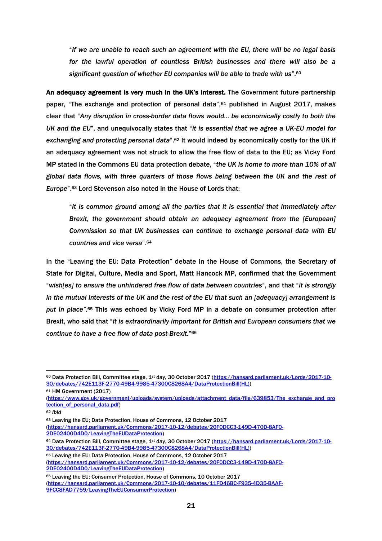"*If we are unable to reach such an agreement with the EU, there will be no legal basis for the lawful operation of countless British businesses and there will also be a significant question of whether EU companies will be able to trade with us*".<sup>60</sup>

An adequacy agreement is very much in the UK's interest. The Government future partnership paper, "The exchange and protection of personal data",<sup>61</sup> published in August 2017, makes clear that "*Any disruption in cross-border data flows would… be economically costly to both the UK and the EU*", and unequivocally states that "*it is essential that we agree a UK-EU model for exchanging and protecting personal data*".<sup>62</sup> It would indeed by economically costly for the UK if an adequacy agreement was not struck to allow the free flow of data to the EU; as Vicky Ford MP stated in the Commons EU data protection debate, "*the UK is home to more than 10% of all global data flows, with three quarters of those flows being between the UK and the rest of Europe*".<sup>63</sup> Lord Stevenson also noted in the House of Lords that:

"*It is common ground among all the parties that it is essential that immediately after Brexit, the government should obtain an adequacy agreement from the [European] Commission so that UK businesses can continue to exchange personal data with EU countries and vice versa*".<sup>64</sup>

In the "Leaving the EU: Data Protection" debate in the House of Commons, the Secretary of State for Digital, Culture, Media and Sport, Matt Hancock MP, confirmed that the Government "*wish[es] to ensure the unhindered free flow of data between countries*", and that "*it is strongly in the mutual interests of the UK and the rest of the EU that such an [adequacy] arrangement is put in place".*<sup>65</sup> This was echoed by Vicky Ford MP in a debate on consumer protection after Brexit, who said that "*it is extraordinarily important for British and European consumers that we continue to have a free flow of data post-Brexit.*" 66

<sup>61</sup> HM Government (2017)

[\(https://www.gov.uk/government/uploads/system/uploads/attachment\\_data/file/639853/The\\_exchange\\_and\\_pro](https://www.gov.uk/government/uploads/system/uploads/attachment_data/file/639853/The_exchange_and_protection_of_personal_data.pdf) tection of personal data.pdf)

 $\overline{a}$ 

- <sup>63</sup> Leaving the EU; Data Protection, House of Commons, 12 October 2017 [\(https://hansard.parliament.uk/Commons/2017-10-12/debates/20F0DCC3-149D-470D-8AF0-](https://hansard.parliament.uk/Commons/2017-10-12/debates/20F0DCC3-149D-470D-8AF0-2DE02400D4D0/LeavingTheEUDataProtection) [2DE02400D4D0/LeavingTheEUDataProtection\)](https://hansard.parliament.uk/Commons/2017-10-12/debates/20F0DCC3-149D-470D-8AF0-2DE02400D4D0/LeavingTheEUDataProtection)
- 64 Data Protection Bill, Committee stage, 1st day, 30 October 2017 [\(https://hansard.parliament.uk/Lords/2017-10-](https://hansard.parliament.uk/Lords/2017-10-30/debates/742E113F-2770-49B4-9985-47300C8268A4/DataProtectionBill(HL)) [30/debates/742E113F-2770-49B4-9985-47300C8268A4/DataProtectionBill\(HL\)\)](https://hansard.parliament.uk/Lords/2017-10-30/debates/742E113F-2770-49B4-9985-47300C8268A4/DataProtectionBill(HL))

<sup>65</sup> Leaving the EU: Data Protection, House of Commons, 12 October 2017 [\(https://hansard.parliament.uk/Commons/2017-10-12/debates/20F0DCC3-149D-470D-8AF0-](https://hansard.parliament.uk/Commons/2017-10-12/debates/20F0DCC3-149D-470D-8AF0-2DE02400D4D0/LeavingTheEUDataProtection) [2DE02400D4D0/LeavingTheEUDataProtection\)](https://hansard.parliament.uk/Commons/2017-10-12/debates/20F0DCC3-149D-470D-8AF0-2DE02400D4D0/LeavingTheEUDataProtection)

<sup>66</sup> Leaving the EU: Consumer Protection, House of Commons, 10 October 2017 [\(https://hansard.parliament.uk/Commons/2017-10-10/debates/11FD46BC-F935-4D35-BAAF-](https://hansard.parliament.uk/Commons/2017-10-10/debates/11FD46BC-F935-4D35-BAAF-9FCC8FAD7759/LeavingTheEUConsumerProtection)[9FCC8FAD7759/LeavingTheEUConsumerProtection\)](https://hansard.parliament.uk/Commons/2017-10-10/debates/11FD46BC-F935-4D35-BAAF-9FCC8FAD7759/LeavingTheEUConsumerProtection)

<sup>60</sup> Data Protection Bill, Committee stage, 1<sup>st</sup> day, 30 October 2017 [\(https://hansard.parliament.uk/Lords/2017-10-](https://hansard.parliament.uk/Lords/2017-10-30/debates/742E113F-2770-49B4-9985-47300C8268A4/DataProtectionBill(HL)) [30/debates/742E113F-2770-49B4-9985-47300C8268A4/DataProtectionBill\(HL\)\)](https://hansard.parliament.uk/Lords/2017-10-30/debates/742E113F-2770-49B4-9985-47300C8268A4/DataProtectionBill(HL))

<sup>62</sup> *Ibid*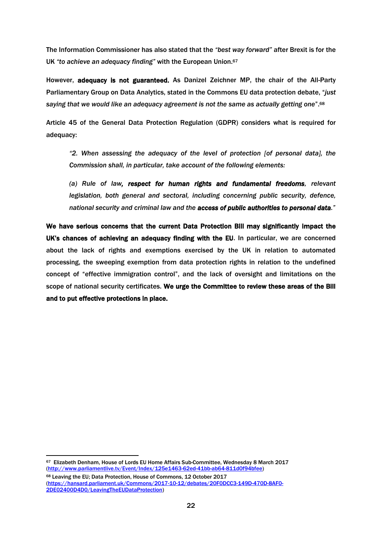The Information Commissioner has also stated that the *"best way forward"* after Brexit is for the UK *"to achieve an adequacy finding"* with the European Union.<sup>67</sup>

However, adequacy is not guaranteed. As Danizel Zeichner MP, the chair of the All-Party Parliamentary Group on Data Analytics, stated in the Commons EU data protection debate, "*just saying that we would like an adequacy agreement is not the same as actually getting one*".<sup>68</sup>

Article 45 of the General Data Protection Regulation (GDPR) considers what is required for adequacy:

*"2. When assessing the adequacy of the level of protection [of personal data], the Commission shall, in particular, take account of the following elements:*

(a) Rule of law, respect for human rights and fundamental freedoms, relevant *legislation, both general and sectoral, including concerning public security, defence, national security and criminal law and the access of public authorities to personal data."*

We have serious concerns that the current Data Protection Bill may significantly impact the UK's chances of achieving an adequacy finding with the EU. In particular, we are concerned about the lack of rights and exemptions exercised by the UK in relation to automated processing, the sweeping exemption from data protection rights in relation to the undefined concept of "effective immigration control", and the lack of oversight and limitations on the scope of national security certificates. We urge the Committee to review these areas of the Bill and to put effective protections in place.

<sup>-</sup><sup>67</sup> Elizabeth Denham, House of Lords EU Home Affairs Sub-Committee, Wednesday 8 March 2017 [\(http://www.parliamentlive.tv/Event/Index/125e1463-62ed-41bb-ab64-811d0f94bfee\)](http://www.parliamentlive.tv/Event/Index/125e1463-62ed-41bb-ab64-811d0f94bfee)

<sup>68</sup> Leaving the EU; Data Protection, House of Commons, 12 October 2017 [\(https://hansard.parliament.uk/Commons/2017-10-12/debates/20F0DCC3-149D-470D-8AF0-](https://hansard.parliament.uk/Commons/2017-10-12/debates/20F0DCC3-149D-470D-8AF0-2DE02400D4D0/LeavingTheEUDataProtection) [2DE02400D4D0/LeavingTheEUDataProtection\)](https://hansard.parliament.uk/Commons/2017-10-12/debates/20F0DCC3-149D-470D-8AF0-2DE02400D4D0/LeavingTheEUDataProtection)